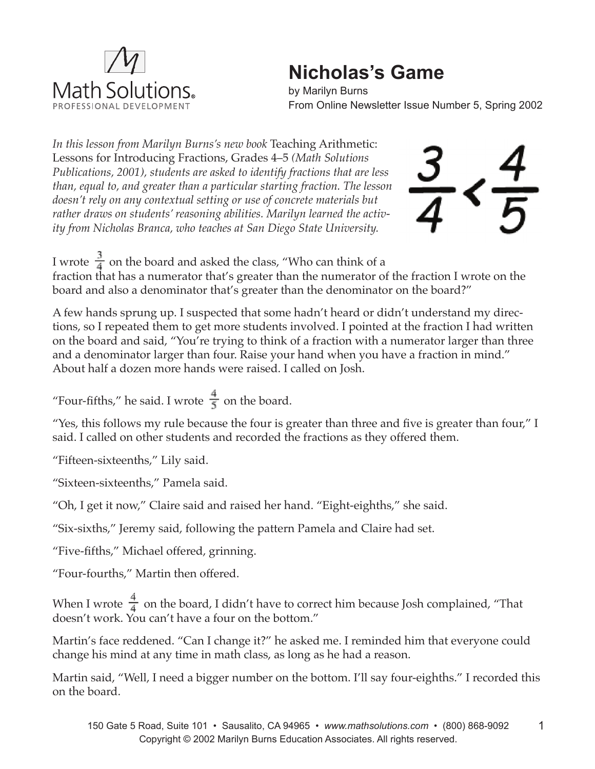

## **Nicholas's Game**

by Marilyn Burns From Online Newsletter Issue Number 5, Spring 2002

*In this lesson from Marilyn Burns's new book* Teaching Arithmetic: Lessons for Introducing Fractions, Grades 4–5 *(Math Solutions Publications, 2001), students are asked to identify fractions that are less than, equal to, and greater than a particular starting fraction. The lesson doesn't rely on any contextual setting or use of concrete materials but rather draws on students' reasoning abilities. Marilyn learned the activity from Nicholas Branca, who teaches at San Diego State University.* 



I wrote  $\frac{3}{4}$  on the board and asked the class, "Who can think of a fraction that has a numerator that's greater than the numerator of the fraction I wrote on the board and also a denominator that's greater than the denominator on the board?"

A few hands sprung up. I suspected that some hadn't heard or didn't understand my directions, so I repeated them to get more students involved. I pointed at the fraction I had written on the board and said, "You're trying to think of a fraction with a numerator larger than three and a denominator larger than four. Raise your hand when you have a fraction in mind." About half a dozen more hands were raised. I called on Josh.

"Four-fifths," he said. I wrote  $\frac{4}{5}$  on the board.

"Yes, this follows my rule because the four is greater than three and five is greater than four," I said. I called on other students and recorded the fractions as they offered them.

"Fifteen-sixteenths," Lily said.

"Sixteen-sixteenths," Pamela said.

"Oh, I get it now," Claire said and raised her hand. "Eight-eighths," she said.

"Six-sixths," Jeremy said, following the pattern Pamela and Claire had set.

"Five-fifths," Michael offered, grinning.

"Four-fourths," Martin then offered.

When I wrote  $\frac{1}{4}$  on the board, I didn't have to correct him because Josh complained, "That doesn't work. You can't have a four on the bottom."

Martin's face reddened. "Can I change it?" he asked me. I reminded him that everyone could change his mind at any time in math class, as long as he had a reason.

Martin said, "Well, I need a bigger number on the bottom. I'll say four-eighths." I recorded this on the board.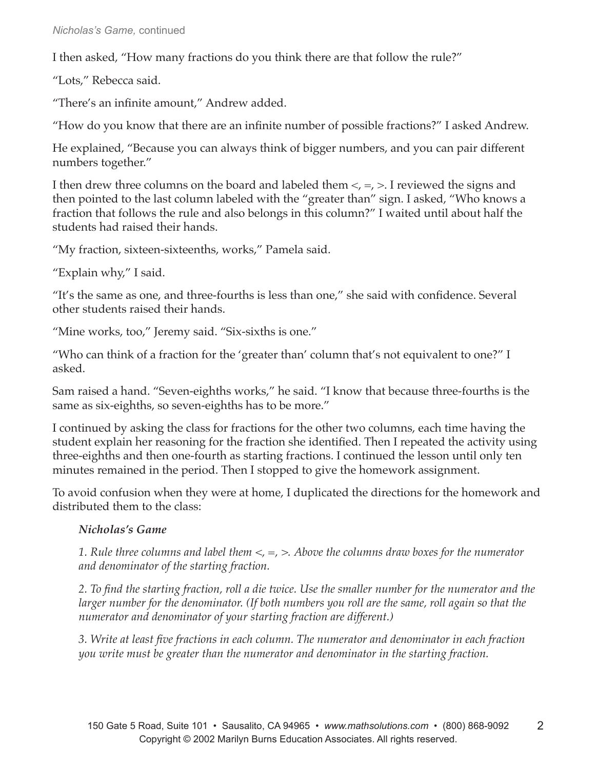## *Nicholas's Game,* continued

I then asked, "How many fractions do you think there are that follow the rule?"

"Lots," Rebecca said.

"There's an infinite amount," Andrew added.

"How do you know that there are an infinite number of possible fractions?" I asked Andrew.

He explained, "Because you can always think of bigger numbers, and you can pair different numbers together."

I then drew three columns on the board and labeled them  $\lt$ ,  $\lt$ ,  $\gt$ . I reviewed the signs and then pointed to the last column labeled with the "greater than" sign. I asked, "Who knows a fraction that follows the rule and also belongs in this column?" I waited until about half the students had raised their hands.

"My fraction, sixteen-sixteenths, works," Pamela said.

"Explain why," I said.

"It's the same as one, and three-fourths is less than one," she said with confidence. Several other students raised their hands.

"Mine works, too," Jeremy said. "Six-sixths is one."

"Who can think of a fraction for the 'greater than' column that's not equivalent to one?" I asked.

Sam raised a hand. "Seven-eighths works," he said. "I know that because three-fourths is the same as six-eighths, so seven-eighths has to be more."

I continued by asking the class for fractions for the other two columns, each time having the student explain her reasoning for the fraction she identified. Then I repeated the activity using three-eighths and then one-fourth as starting fractions. I continued the lesson until only ten minutes remained in the period. Then I stopped to give the homework assignment.

To avoid confusion when they were at home, I duplicated the directions for the homework and distributed them to the class:

## *Nicholas's Game*

*1. Rule three columns and label them <, =, >. Above the columns draw boxes for the numerator and denominator of the starting fraction.* 

*2. To find the starting fraction, roll a die twice. Use the smaller number for the numerator and the larger number for the denominator. (If both numbers you roll are the same, roll again so that the numerator and denominator of your starting fraction are different.)* 

*3. Write at least five fractions in each column. The numerator and denominator in each fraction you write must be greater than the numerator and denominator in the starting fraction.*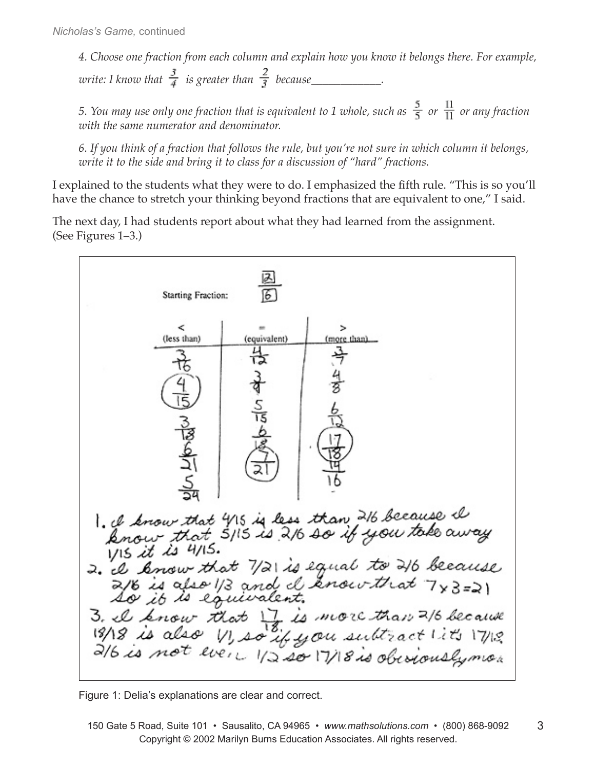*4. Choose one fraction from each column and explain how you know it belongs there. For example, write: I know that*  $\frac{3}{4}$  *is greater than*  $\frac{2}{3}$  *because* 

*5. You may use only one fraction that is equivalent to 1 whole, such as*  $\frac{5}{5}$  *or*  $\frac{11}{11}$  *or any fraction with the same numerator and denominator.* 

*6. If you think of a fraction that follows the rule, but you're not sure in which column it belongs, write it to the side and bring it to class for a discussion of "hard" fractions.* 

I explained to the students what they were to do. I emphasized the fifth rule. "This is so you'll have the chance to stretch your thinking beyond fractions that are equivalent to one," I said.

The next day, I had students report about what they had learned from the assignment. (See Figures 1–3.)



Figure 1: Delia's explanations are clear and correct.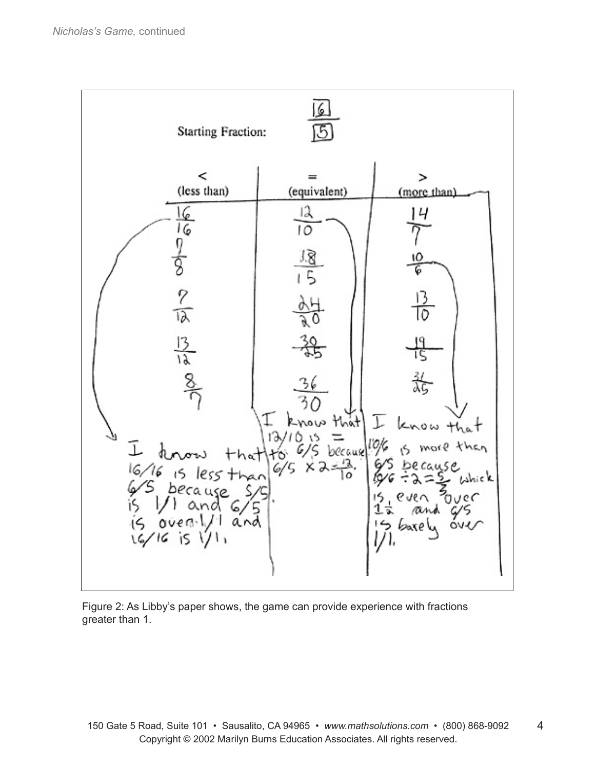

Figure 2: As Libby's paper shows, the game can provide experience with fractions greater than 1.